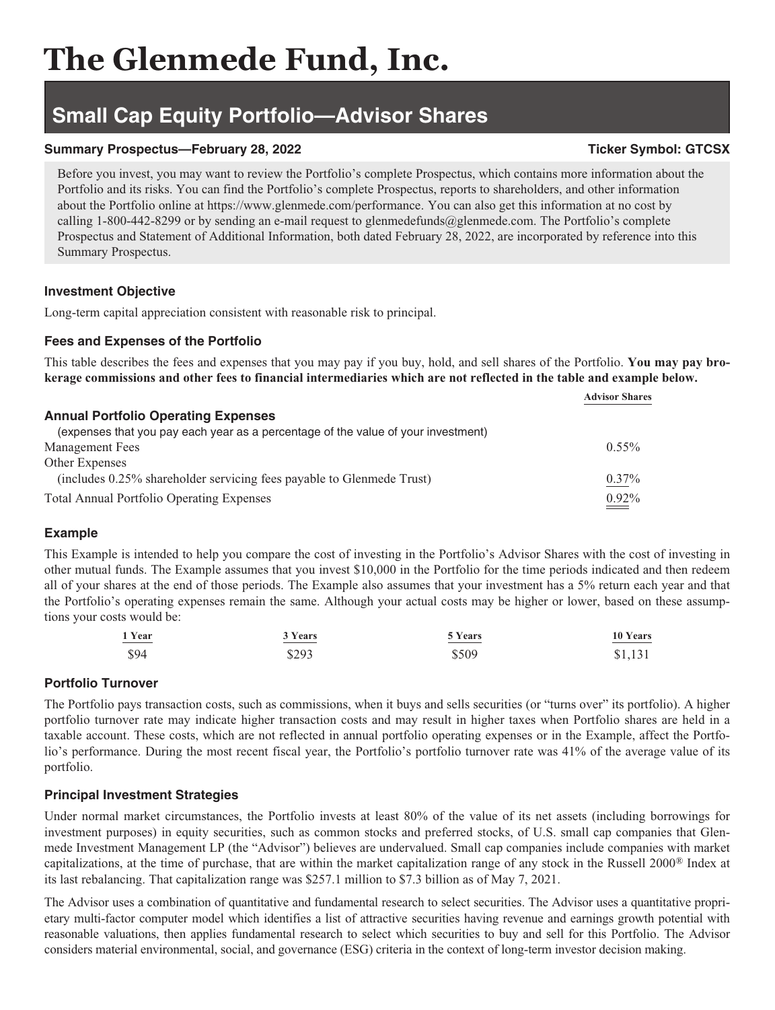# **The Glenmede Fund, Inc.**

## **Small Cap Equity Portfolio—Advisor Shares**

### **Summary Prospectus—February 28, 2022** Ticker Symbol: GTCSX

Before you invest, you may want to review the Portfolio's complete Prospectus, which contains more information about the Portfolio and its risks. You can find the Portfolio's complete Prospectus, reports to shareholders, and other information about the Portfolio online at https://www.glenmede.com/performance. You can also get this information at no cost by calling 1-800-442-8299 or by sending an e-mail request to glenmedefunds@glenmede.com. The Portfolio's complete Prospectus and Statement of Additional Information, both dated February 28, 2022, are incorporated by reference into this Summary Prospectus.

#### **Investment Objective**

Long-term capital appreciation consistent with reasonable risk to principal.

### **Fees and Expenses of the Portfolio**

This table describes the fees and expenses that you may pay if you buy, hold, and sell shares of the Portfolio. **You may pay brokerage commissions and other fees to financial intermediaries which are not reflected in the table and example below.**

|                                                                                   | <b>Advisor Shares</b> |
|-----------------------------------------------------------------------------------|-----------------------|
| <b>Annual Portfolio Operating Expenses</b>                                        |                       |
| (expenses that you pay each year as a percentage of the value of your investment) |                       |
| <b>Management Fees</b>                                                            | $0.55\%$              |
| Other Expenses                                                                    |                       |
| (includes 0.25% shareholder servicing fees payable to Glenmede Trust)             | $0.37\%$              |
| <b>Total Annual Portfolio Operating Expenses</b>                                  | $0.92\%$              |

#### **Example**

This Example is intended to help you compare the cost of investing in the Portfolio's Advisor Shares with the cost of investing in other mutual funds. The Example assumes that you invest \$10,000 in the Portfolio for the time periods indicated and then redeem all of your shares at the end of those periods. The Example also assumes that your investment has a 5% return each year and that the Portfolio's operating expenses remain the same. Although your actual costs may be higher or lower, based on these assumptions your costs would be:

| 1 Year                      | 3 Years | 5 Years | 10 Years |
|-----------------------------|---------|---------|----------|
| $\sim$ $\sim$ $\sim$ $\sim$ |         |         |          |
| \$94                        | \$293   | \$509   | \$1,131  |

#### **Portfolio Turnover**

The Portfolio pays transaction costs, such as commissions, when it buys and sells securities (or "turns over" its portfolio). A higher portfolio turnover rate may indicate higher transaction costs and may result in higher taxes when Portfolio shares are held in a taxable account. These costs, which are not reflected in annual portfolio operating expenses or in the Example, affect the Portfolio's performance. During the most recent fiscal year, the Portfolio's portfolio turnover rate was 41% of the average value of its portfolio.

#### **Principal Investment Strategies**

Under normal market circumstances, the Portfolio invests at least 80% of the value of its net assets (including borrowings for investment purposes) in equity securities, such as common stocks and preferred stocks, of U.S. small cap companies that Glenmede Investment Management LP (the "Advisor") believes are undervalued. Small cap companies include companies with market capitalizations, at the time of purchase, that are within the market capitalization range of any stock in the Russell 2000® Index at its last rebalancing. That capitalization range was \$257.1 million to \$7.3 billion as of May 7, 2021.

The Advisor uses a combination of quantitative and fundamental research to select securities. The Advisor uses a quantitative proprietary multi-factor computer model which identifies a list of attractive securities having revenue and earnings growth potential with reasonable valuations, then applies fundamental research to select which securities to buy and sell for this Portfolio. The Advisor considers material environmental, social, and governance (ESG) criteria in the context of long-term investor decision making.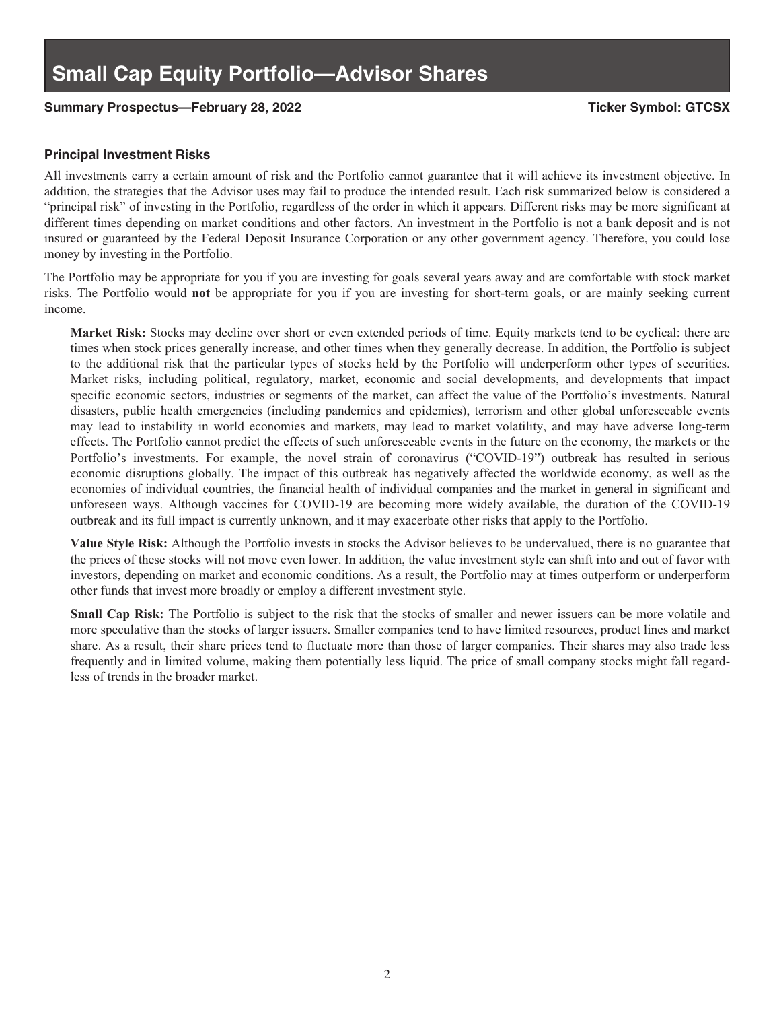#### **Summary Prospectus—February 28, 2022 Ticker Symbol: GTCSX**

#### **Principal Investment Risks**

All investments carry a certain amount of risk and the Portfolio cannot guarantee that it will achieve its investment objective. In addition, the strategies that the Advisor uses may fail to produce the intended result. Each risk summarized below is considered a "principal risk" of investing in the Portfolio, regardless of the order in which it appears. Different risks may be more significant at different times depending on market conditions and other factors. An investment in the Portfolio is not a bank deposit and is not insured or guaranteed by the Federal Deposit Insurance Corporation or any other government agency. Therefore, you could lose money by investing in the Portfolio.

The Portfolio may be appropriate for you if you are investing for goals several years away and are comfortable with stock market risks. The Portfolio would **not** be appropriate for you if you are investing for short-term goals, or are mainly seeking current income.

**Market Risk:** Stocks may decline over short or even extended periods of time. Equity markets tend to be cyclical: there are times when stock prices generally increase, and other times when they generally decrease. In addition, the Portfolio is subject to the additional risk that the particular types of stocks held by the Portfolio will underperform other types of securities. Market risks, including political, regulatory, market, economic and social developments, and developments that impact specific economic sectors, industries or segments of the market, can affect the value of the Portfolio's investments. Natural disasters, public health emergencies (including pandemics and epidemics), terrorism and other global unforeseeable events may lead to instability in world economies and markets, may lead to market volatility, and may have adverse long-term effects. The Portfolio cannot predict the effects of such unforeseeable events in the future on the economy, the markets or the Portfolio's investments. For example, the novel strain of coronavirus ("COVID-19") outbreak has resulted in serious economic disruptions globally. The impact of this outbreak has negatively affected the worldwide economy, as well as the economies of individual countries, the financial health of individual companies and the market in general in significant and unforeseen ways. Although vaccines for COVID-19 are becoming more widely available, the duration of the COVID-19 outbreak and its full impact is currently unknown, and it may exacerbate other risks that apply to the Portfolio.

**Value Style Risk:** Although the Portfolio invests in stocks the Advisor believes to be undervalued, there is no guarantee that the prices of these stocks will not move even lower. In addition, the value investment style can shift into and out of favor with investors, depending on market and economic conditions. As a result, the Portfolio may at times outperform or underperform other funds that invest more broadly or employ a different investment style.

**Small Cap Risk:** The Portfolio is subject to the risk that the stocks of smaller and newer issuers can be more volatile and more speculative than the stocks of larger issuers. Smaller companies tend to have limited resources, product lines and market share. As a result, their share prices tend to fluctuate more than those of larger companies. Their shares may also trade less frequently and in limited volume, making them potentially less liquid. The price of small company stocks might fall regardless of trends in the broader market.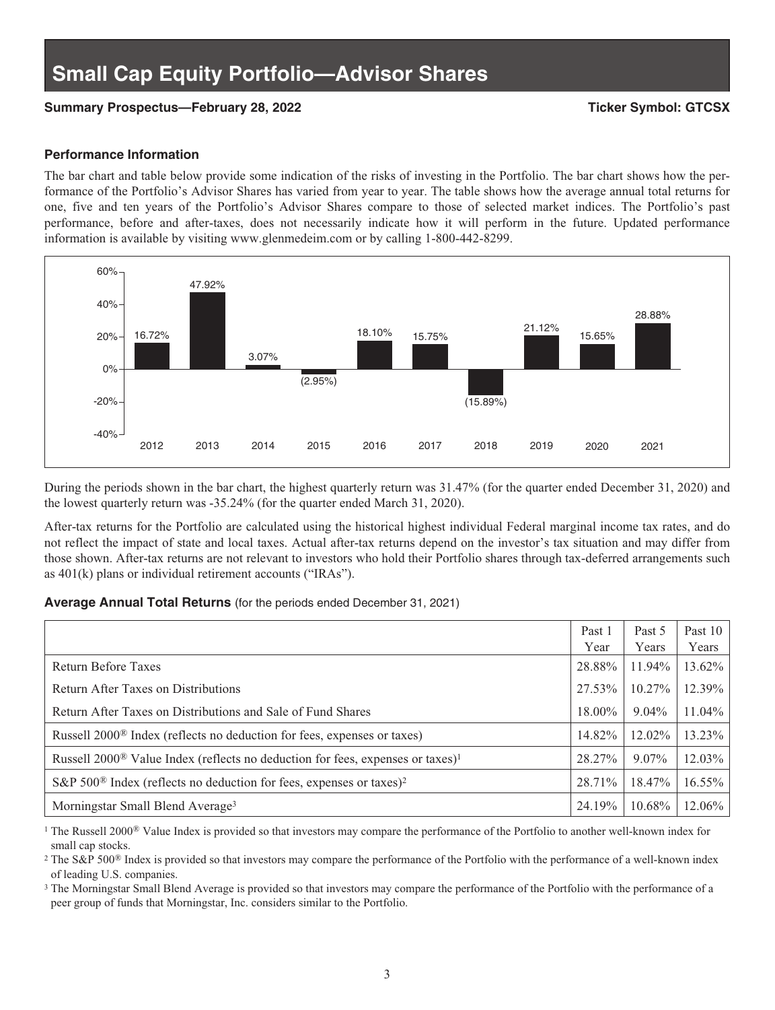#### **Summary Prospectus—February 28, 2022 Ticker Symbol: GTCSX**

#### **Performance Information**

The bar chart and table below provide some indication of the risks of investing in the Portfolio. The bar chart shows how the performance of the Portfolio's Advisor Shares has varied from year to year. The table shows how the average annual total returns for one, five and ten years of the Portfolio's Advisor Shares compare to those of selected market indices. The Portfolio's past performance, before and after-taxes, does not necessarily indicate how it will perform in the future. Updated performance information is available by visiting www.glenmedeim.com or by calling 1-800-442-8299.



During the periods shown in the bar chart, the highest quarterly return was 31.47% (for the quarter ended December 31, 2020) and the lowest quarterly return was -35.24% (for the quarter ended March 31, 2020).

After-tax returns for the Portfolio are calculated using the historical highest individual Federal marginal income tax rates, and do not reflect the impact of state and local taxes. Actual after-tax returns depend on the investor's tax situation and may differ from those shown. After-tax returns are not relevant to investors who hold their Portfolio shares through tax-deferred arrangements such as 401(k) plans or individual retirement accounts ("IRAs").

#### **Average Annual Total Returns** (for the periods ended December 31, 2021)

|                                                                                                        | Past 1<br>Year | Past 5<br>Years | Past 10<br>Years |
|--------------------------------------------------------------------------------------------------------|----------------|-----------------|------------------|
| Return Before Taxes                                                                                    | 28.88%         | 11.94%          | 13.62%           |
| Return After Taxes on Distributions                                                                    | 27.53%         | $10.27\%$       | 12.39%           |
| Return After Taxes on Distributions and Sale of Fund Shares                                            | 18.00%         | $9.04\%$        | 11.04%           |
| Russell 2000 <sup>®</sup> Index (reflects no deduction for fees, expenses or taxes)                    | 14.82%         | $12.02\%$       | 13.23%           |
| Russell 2000 <sup>®</sup> Value Index (reflects no deduction for fees, expenses or taxes) <sup>1</sup> | 28.27%         | $9.07\%$        | 12.03%           |
| S&P 500 <sup>®</sup> Index (reflects no deduction for fees, expenses or taxes) <sup>2</sup>            | 28.71%         | 18.47%          | 16.55%           |
| Morningstar Small Blend Average <sup>3</sup>                                                           | 24.19%         | 10.68%          | 12.06%           |

<sup>1</sup> The Russell 2000<sup>®</sup> Value Index is provided so that investors may compare the performance of the Portfolio to another well-known index for small cap stocks.

<sup>2</sup> The S&P 500<sup>®</sup> Index is provided so that investors may compare the performance of the Portfolio with the performance of a well-known index of leading U.S. companies.

<sup>3</sup> The Morningstar Small Blend Average is provided so that investors may compare the performance of the Portfolio with the performance of a peer group of funds that Morningstar, Inc. considers similar to the Portfolio.